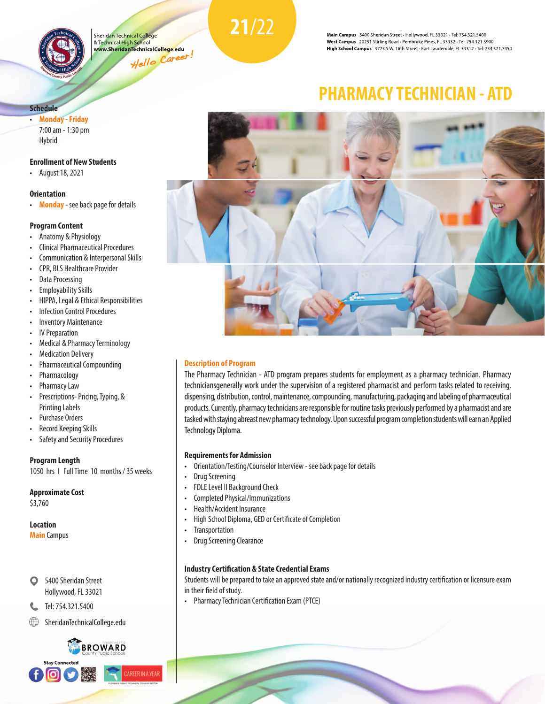

Sheridan Technical College & Technical High School www.SheridanTechnicalCo<mark>llege.</mark>edu Hello Career!<br>Hello Career! **21**/22

Main Campus 5400 Sheridan Street · Hollywood, FL 33021 · Tel: 754.321.5400 West Campus 20251 Stirling Road · Pembroke Pines, FL 33332 · Tel: 754.321.3900 High School Campus 3775 S.W. 16th Street · Fort Lauderdale, FL 33312 · Tel: 754.321.7450

### **Schedule**

• **Monday - Friday** 7:00 am - 1:30 pm Hybrid

#### **Enrollment of New Students**

• August 18, 2021

#### **Orientation**

• **Monday** - see back page for details

#### **Program Content**

- Anatomy & Physiology
- Clinical Pharmaceutical Procedures
- Communication & Interpersonal Skills
- CPR, BLS Healthcare Provider
- Data Processing
- Employability Skills
- HIPPA, Legal & Ethical Responsibilities
- **Infection Control Procedures**
- Inventory Maintenance
- **IV Preparation**
- Medical & Pharmacy Terminology
- Medication Delivery
- Pharmaceutical Compounding
- Pharmacology
- Pharmacy Law
- Prescriptions- Pricing, Typing, & Printing Labels
- Purchase Orders
- Record Keeping Skills
- Safety and Security Procedures

#### **Program Length**

1050 hrs I Full Time 10 months / 35 weeks

#### **Approximate Cost**

\$3,760

#### **Location**

**Main** Campus

5400 Sheridan Street O Hollywood, FL 33021

## C. Tel: 754.321.5400

SheridanTechnicalCollege.edu

#### BROWARD **Stay Connected ARFFRINA YFA** ര

# **PHARMACY TECHNICIAN - ATD**



#### **Description of Program**

The Pharmacy Technician - ATD program prepares students for employment as a pharmacy technician. Pharmacy techniciansgenerally work under the supervision of a registered pharmacist and perform tasks related to receiving, dispensing, distribution, control, maintenance, compounding, manufacturing, packaging and labeling of pharmaceutical products. Currently, pharmacy technicians are responsible for routine tasks previously performed by a pharmacist and are tasked with staying abreast new pharmacy technology. Upon successful program completion students will earn an Applied Technology Diploma.

#### **Requirements for Admission**

- Orientation/Testing/Counselor Interview see back page for details
- Drug Screening
- FDLE Level II Background Check
- Completed Physical/Immunizations
- Health/Accident Insurance
- High School Diploma, GED or Certificate of Completion
- Transportation
- Drug Screening Clearance

#### **Industry Certification & State Credential Exams**

Students will be prepared to take an approved state and/or nationally recognized industry certification or licensure exam in their field of study.

• Pharmacy Technician Certification Exam (PTCE)